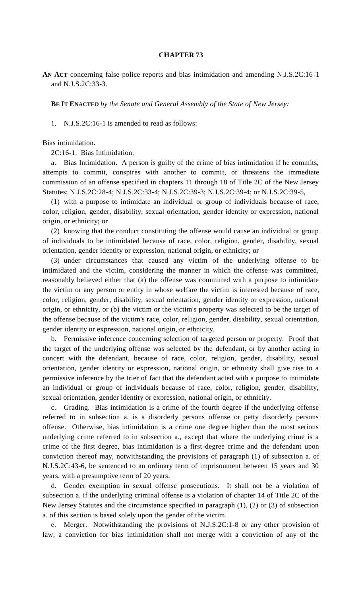## **CHAPTER 73**

**AN ACT** concerning false police reports and bias intimidation and amending N.J.S.2C:16-1 and N.J.S.2C:33-3.

**BE IT ENACTED** *by the Senate and General Assembly of the State of New Jersey:*

1. N.J.S.2C:16-1 is amended to read as follows:

Bias intimidation.

2C:16-1. Bias Intimidation.

a. Bias Intimidation. A person is guilty of the crime of bias intimidation if he commits, attempts to commit, conspires with another to commit, or threatens the immediate commission of an offense specified in chapters 11 through 18 of Title 2C of the New Jersey Statutes; N.J.S.2C:28-4; N.J.S.2C:33-4; N.J.S.2C:39-3; N.J.S.2C:39-4; or N.J.S.2C:39-5,

(1) with a purpose to intimidate an individual or group of individuals because of race, color, religion, gender, disability, sexual orientation, gender identity or expression, national origin, or ethnicity; or

(2) knowing that the conduct constituting the offense would cause an individual or group of individuals to be intimidated because of race, color, religion, gender, disability, sexual orientation, gender identity or expression, national origin, or ethnicity; or

(3) under circumstances that caused any victim of the underlying offense to be intimidated and the victim, considering the manner in which the offense was committed, reasonably believed either that (a) the offense was committed with a purpose to intimidate the victim or any person or entity in whose welfare the victim is interested because of race, color, religion, gender, disability, sexual orientation, gender identity or expression, national origin, or ethnicity, or (b) the victim or the victim's property was selected to be the target of the offense because of the victim's race, color, religion, gender, disability, sexual orientation, gender identity or expression, national origin, or ethnicity.

b. Permissive inference concerning selection of targeted person or property. Proof that the target of the underlying offense was selected by the defendant, or by another acting in concert with the defendant, because of race, color, religion, gender, disability, sexual orientation, gender identity or expression, national origin, or ethnicity shall give rise to a permissive inference by the trier of fact that the defendant acted with a purpose to intimidate an individual or group of individuals because of race, color, religion, gender, disability, sexual orientation, gender identity or expression, national origin, or ethnicity.

c. Grading. Bias intimidation is a crime of the fourth degree if the underlying offense referred to in subsection a. is a disorderly persons offense or petty disorderly persons offense. Otherwise, bias intimidation is a crime one degree higher than the most serious underlying crime referred to in subsection a., except that where the underlying crime is a crime of the first degree, bias intimidation is a first-degree crime and the defendant upon conviction thereof may, notwithstanding the provisions of paragraph (1) of subsection a. of N.J.S.2C:43-6, be sentenced to an ordinary term of imprisonment between 15 years and 30 years, with a presumptive term of 20 years.

d. Gender exemption in sexual offense prosecutions. It shall not be a violation of subsection a. if the underlying criminal offense is a violation of chapter 14 of Title 2C of the New Jersey Statutes and the circumstance specified in paragraph (1), (2) or (3) of subsection a. of this section is based solely upon the gender of the victim.

e. Merger. Notwithstanding the provisions of N.J.S.2C:1-8 or any other provision of law, a conviction for bias intimidation shall not merge with a conviction of any of the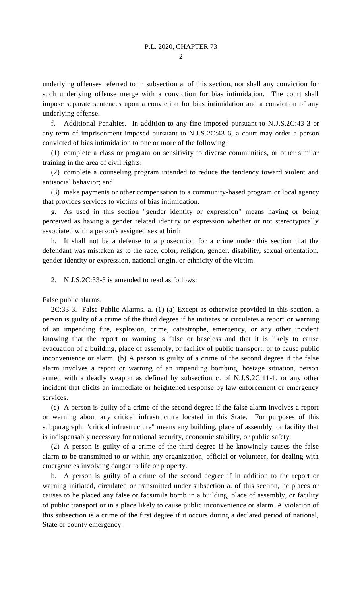underlying offenses referred to in subsection a. of this section, nor shall any conviction for such underlying offense merge with a conviction for bias intimidation. The court shall impose separate sentences upon a conviction for bias intimidation and a conviction of any underlying offense.

f. Additional Penalties. In addition to any fine imposed pursuant to N.J.S.2C:43-3 or any term of imprisonment imposed pursuant to N.J.S.2C:43-6, a court may order a person convicted of bias intimidation to one or more of the following:

(1) complete a class or program on sensitivity to diverse communities, or other similar training in the area of civil rights;

(2) complete a counseling program intended to reduce the tendency toward violent and antisocial behavior; and

(3) make payments or other compensation to a community-based program or local agency that provides services to victims of bias intimidation.

g. As used in this section "gender identity or expression" means having or being perceived as having a gender related identity or expression whether or not stereotypically associated with a person's assigned sex at birth.

h. It shall not be a defense to a prosecution for a crime under this section that the defendant was mistaken as to the race, color, religion, gender, disability, sexual orientation, gender identity or expression, national origin, or ethnicity of the victim.

2. N.J.S.2C:33-3 is amended to read as follows:

False public alarms.

2C:33-3. False Public Alarms. a. (1) (a) Except as otherwise provided in this section, a person is guilty of a crime of the third degree if he initiates or circulates a report or warning of an impending fire, explosion, crime, catastrophe, emergency, or any other incident knowing that the report or warning is false or baseless and that it is likely to cause evacuation of a building, place of assembly, or facility of public transport, or to cause public inconvenience or alarm. (b) A person is guilty of a crime of the second degree if the false alarm involves a report or warning of an impending bombing, hostage situation, person armed with a deadly weapon as defined by subsection c. of N.J.S.2C:11-1, or any other incident that elicits an immediate or heightened response by law enforcement or emergency services.

(c) A person is guilty of a crime of the second degree if the false alarm involves a report or warning about any critical infrastructure located in this State. For purposes of this subparagraph, "critical infrastructure" means any building, place of assembly, or facility that is indispensably necessary for national security, economic stability, or public safety.

(2) A person is guilty of a crime of the third degree if he knowingly causes the false alarm to be transmitted to or within any organization, official or volunteer, for dealing with emergencies involving danger to life or property.

b. A person is guilty of a crime of the second degree if in addition to the report or warning initiated, circulated or transmitted under subsection a. of this section, he places or causes to be placed any false or facsimile bomb in a building, place of assembly, or facility of public transport or in a place likely to cause public inconvenience or alarm. A violation of this subsection is a crime of the first degree if it occurs during a declared period of national, State or county emergency.